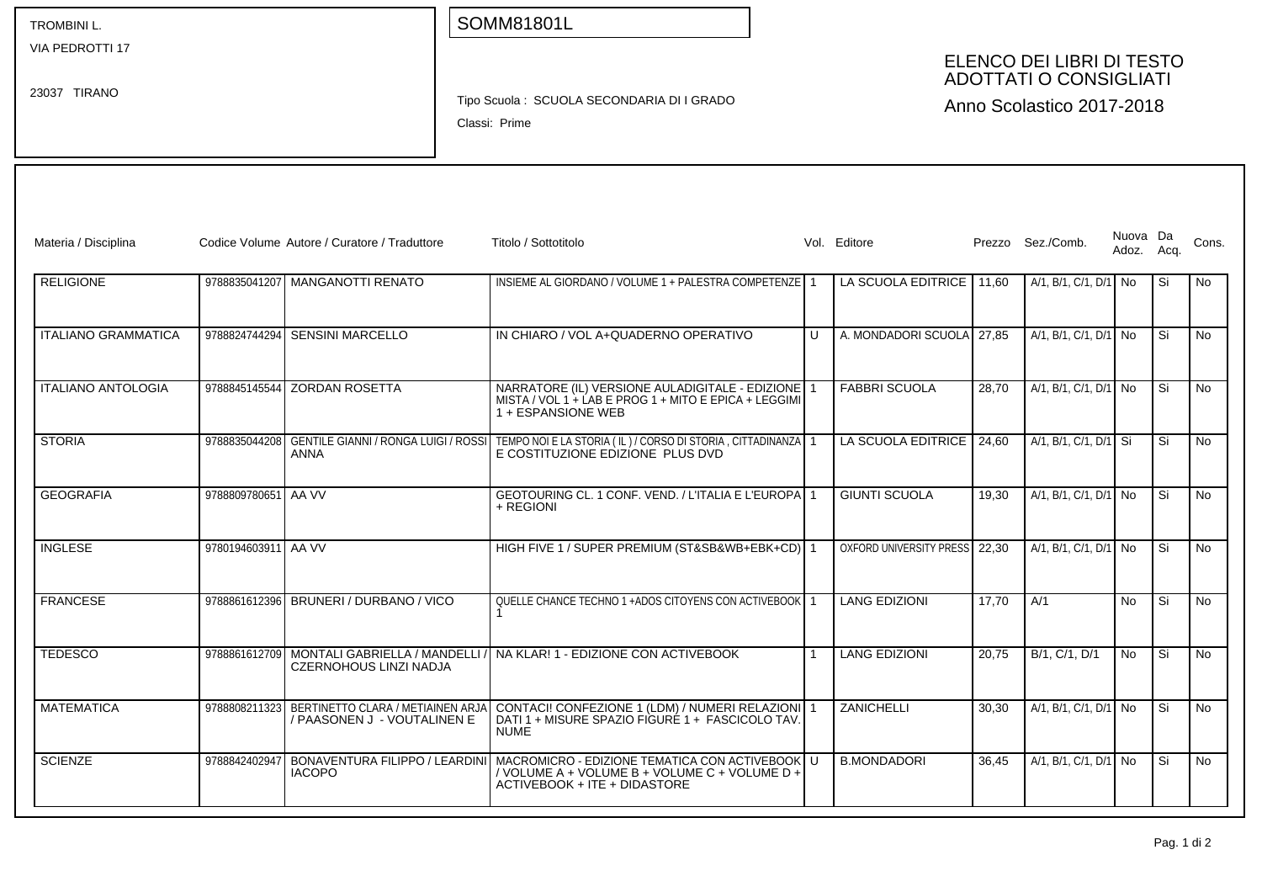| <b>TROMBINIL.</b> |  |
|-------------------|--|
|-------------------|--|

VIA PEDROTTI 17

23037 TIRANO

## SOMM81801L

## ELENCO DEI LIBRI DI TESTO ADOTTATI O CONSIGLIATI

Tipo Scuola : SCUOLA SECONDARIA DI I GRADO

Classi: Prime

Anno Scolastico 2017-2018

| Materia / Disciplina       |                     | Codice Volume Autore / Curatore / Traduttore                                   | Titolo / Sottotitolo                                                                                                                                            |              | Vol. Editore                  |       | Prezzo Sez./Comb.     | Nuova Da<br>Adoz. Acq. |      | Cons.     |
|----------------------------|---------------------|--------------------------------------------------------------------------------|-----------------------------------------------------------------------------------------------------------------------------------------------------------------|--------------|-------------------------------|-------|-----------------------|------------------------|------|-----------|
| <b>RELIGIONE</b>           |                     | 9788835041207 MANGANOTTI RENATO                                                | INSIEME AL GIORDANO / VOLUME 1 + PALESTRA COMPETENZE 1                                                                                                          |              | LA SCUOLA EDITRICE            | 11.60 | A/1, B/1, C/1, D/1 No |                        | Si   | <b>No</b> |
| <b>ITALIANO GRAMMATICA</b> | 9788824744294       | <b>SENSINI MARCELLO</b>                                                        | IN CHIARO / VOL A+QUADERNO OPERATIVO                                                                                                                            | $\mathbf{U}$ | A. MONDADORI SCUOLA           | 27.85 | A/1, B/1, C/1, D/1 No |                        | .Si  | <b>No</b> |
| <b>ITALIANO ANTOLOGIA</b>  |                     | 9788845145544 ZORDAN ROSETTA                                                   | NARRATORE (IL) VERSIONE AULADIGITALE - EDIZIONE 1<br>MISTA / VOL 1 + LAB E PROG 1 + MITO E EPICA + LEGGIMI<br>1 + ESPANSIONE WEB                                |              | <b>FABBRI SCUOLA</b>          | 28.70 | A/1, B/1, C/1, D/1 No |                        | Si   | <b>No</b> |
| <b>STORIA</b>              | 9788835044208       | GENTILE GIANNI / RONGA LUIGI / ROSSI<br>ANNA                                   | TEMPO NOI E LA STORIA (IL) / CORSO DI STORIA, CITTADINANZA 1<br>E COSTITUZIONE EDIZIONE PLUS DVD                                                                |              | LA SCUOLA EDITRICE            | 24,60 | A/1, B/1, C/1, D/1 Si |                        | Si   | <b>No</b> |
| <b>GEOGRAFIA</b>           | 9788809780651 AA VV |                                                                                | GEOTOURING CL. 1 CONF. VEND. / L'ITALIA E L'EUROPA 1<br>+ REGIONI                                                                                               |              | <b>GIUNTI SCUOLA</b>          | 19.30 | A/1, B/1, C/1, D/1 No |                        | Si   | <b>No</b> |
| <b>INGLESE</b>             | 9780194603911 AA VV |                                                                                | HIGH FIVE 1 / SUPER PREMIUM (ST&SB&WB+EBK+CD) 1                                                                                                                 |              | OXFORD UNIVERSITY PRESS 22.30 |       | A/1, B/1, C/1, D/1 No |                        | l Si | <b>No</b> |
| <b>FRANCESE</b>            |                     | 9788861612396 BRUNERI / DURBANO / VICO                                         | QUELLE CHANCE TECHNO 1 +ADOS CITOYENS CON ACTIVEBOOK 1                                                                                                          |              | <b>LANG EDIZIONI</b>          | 17.70 | A/1                   | No.                    | Si   | <b>No</b> |
| <b>TEDESCO</b>             |                     | 9788861612709 MONTALI GABRIELLA / MANDELLI<br><b>CZERNOHOUS LINZI NADJA</b>    | NA KLAR! 1 - EDIZIONE CON ACTIVEBOOK                                                                                                                            |              | <b>LANG EDIZIONI</b>          | 20.75 | B/1, C/1, D/1         | No.                    | Si   | <b>No</b> |
| <b>MATEMATICA</b>          |                     | 9788808211323 BERTINETTO CLARA / METIAINEN ARJA<br>/ PAASONEN J - VOUTALINEN E | CONTACI! CONFEZIONE 1 (LDM) / NUMERI RELAZIONI 1<br>DATI 1 + MISURE SPAZIO FIGURÉ 1 + FASCICOLO TAV<br><b>NUME</b>                                              |              | ZANICHELLI                    | 30.30 | A/1, B/1, C/1, D/1 No |                        | Si   | <b>No</b> |
| <b>SCIENZE</b>             | 9788842402947       | <b>IACOPO</b>                                                                  | BONAVENTURA FILIPPO / LEARDINI   MACROMICRO - EDIZIONE TEMATICA CON ACTIVEBOOK<br>/ VOLUME A + VOLUME B + VOLUME C + VOLUME D +<br>ACTIVEBOOK + ITE + DIDASTORE |              | <b>B.MONDADORI</b>            | 36.45 | A/1, B/1, C/1, D/1 No |                        | Si   | <b>No</b> |